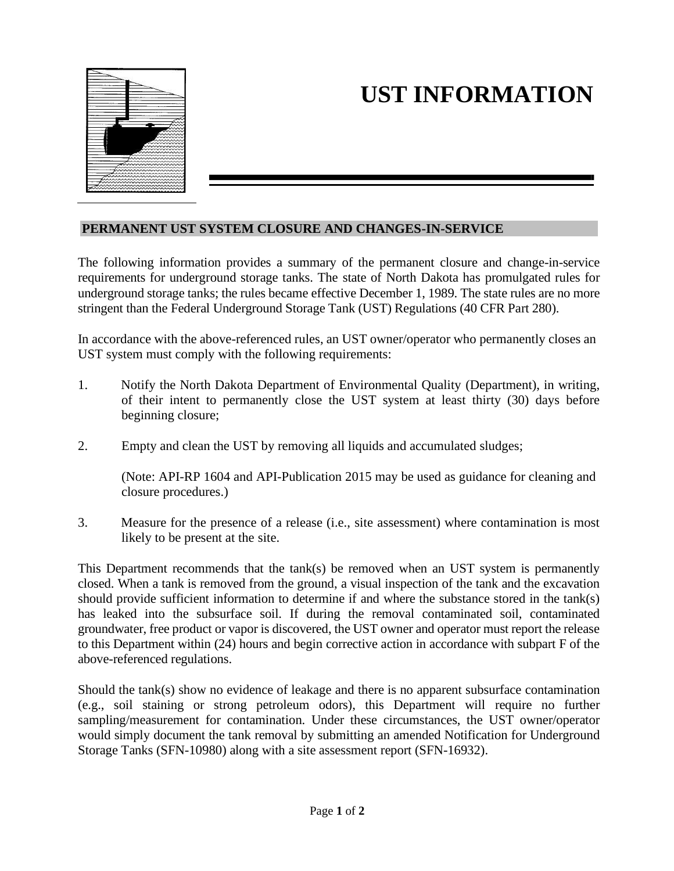

## **UST INFORMATION**

## **PERMANENT UST SYSTEM CLOSURE AND CHANGES-IN-SERVICE**

The following information provides a summary of the permanent closure and change-in-service requirements for underground storage tanks. The state of North Dakota has promulgated rules for underground storage tanks; the rules became effective December 1, 1989. The state rules are no more stringent than the Federal Underground Storage Tank (UST) Regulations (40 CFR Part 280).

In accordance with the above-referenced rules, an UST owner/operator who permanently closes an UST system must comply with the following requirements:

- 1. Notify the North Dakota Department of Environmental Quality (Department), in writing, of their intent to permanently close the UST system at least thirty (30) days before beginning closure;
- 2. Empty and clean the UST by removing all liquids and accumulated sludges;

(Note: API-RP 1604 and API-Publication 2015 may be used as guidance for cleaning and closure procedures.)

3. Measure for the presence of a release (i.e., site assessment) where contamination is most likely to be present at the site.

This Department recommends that the tank(s) be removed when an UST system is permanently closed. When a tank is removed from the ground, a visual inspection of the tank and the excavation should provide sufficient information to determine if and where the substance stored in the tank(s) has leaked into the subsurface soil. If during the removal contaminated soil, contaminated groundwater, free product or vapor is discovered, the UST owner and operator must report the release to this Department within (24) hours and begin corrective action in accordance with subpart F of the above-referenced regulations.

Should the tank(s) show no evidence of leakage and there is no apparent subsurface contamination (e.g., soil staining or strong petroleum odors), this Department will require no further sampling/measurement for contamination. Under these circumstances, the UST owner/operator would simply document the tank removal by submitting an amended Notification for Underground Storage Tanks (SFN-10980) along with a site assessment report (SFN-16932).